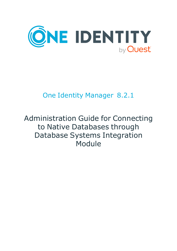

# One Identity Manager 8.2.1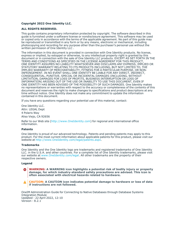#### **Copyright 2022 One Identity LLC.**

#### **ALL RIGHTS RESERVED.**

This guide contains proprietary information protected by copyright. The software described in this guide is furnished under a software license or nondisclosure agreement. This software may be used or copied only in accordance with the terms of the applicable agreement. No part of this guide may be reproduced or transmitted in any form or by any means, electronic or mechanical, including photocopying and recording for any purpose other than the purchaser's personal use without the written permission of One Identity LLC .

The information in this document is provided in connection with One Identity products. No license, express or implied, by estoppel or otherwise, to any intellectual property right is granted by this document or in connection with the sale of One Identity LLC products. EXCEPT AS SET FORTH IN THE TERMS AND CONDITIONS AS SPECIFIED IN THE LICENSE AGREEMENT FOR THIS PRODUCT, ONE IDENTITY ASSUMES NO LIABILITY WHATSOEVER AND DISCLAIMS ANY EXPRESS, IMPLIED OR STATUTORY WARRANTY RELATING TO ITS PRODUCTS INCLUDING, BUT NOT LIMITED TO, THE IMPLIED WARRANTY OF MERCHANTABILITY, FITNESS FOR A PARTICULAR PURPOSE, OR NON-INFRINGEMENT. IN NO EVENT SHALL ONE IDENTITY BE LIABLE FOR ANY DIRECT, INDIRECT, CONSEQUENTIAL, PUNITIVE, SPECIAL OR INCIDENTAL DAMAGES (INCLUDING, WITHOUT LIMITATION, DAMAGES FOR LOSS OF PROFITS, BUSINESS INTERRUPTION OR LOSS OF INFORMATION) ARISING OUT OF THE USE OR INABILITY TO USE THIS DOCUMENT, EVEN IF ONE IDENTITY HAS BEEN ADVISED OF THE POSSIBILITY OF SUCH DAMAGES. One Identity makes no representations or warranties with respect to the accuracy or completeness of the contents of this document and reserves the right to make changes to specifications and product descriptions at any time without notice. One Identity does not make any commitment to update the information contained in this document.

If you have any questions regarding your potential use of this material, contact:

One Identity LLC. Attn: LEGAL Dept 4 Polaris Way Aliso Viejo, CA 92656

Refer to our Web site [\(http://www.OneIdentity.com](http://www.oneidentity.com/)) for regional and international office information.

#### **Patents**

One Identity is proud of our advanced technology. Patents and pending patents may apply to this product. For the most current information about applicable patents for this product, please visit our website at [http://www.OneIdentity.com/legal/patents.aspx.](http://www.oneidentity.com/legal/patents.aspx)

#### **Trademarks**

One Identity and the One Identity logo are trademarks and registered trademarks of One Identity LLC. in the U.S.A. and other countries. For a complete list of One Identity trademarks, please visit our website at [www.OneIdentity.com/legal](http://www.oneidentity.com/legal). All other trademarks are the property of their respective owners.

#### **Legend**

**WARNING: A WARNING icon highlights a potential risk of bodily injury or property** œ **damage, for which industry-standard safety precautions are advised. This icon is often associated with electrical hazards related to hardware.**

#### **CAUTION: A CAUTION icon indicates potential damage to hardware or loss of data if instructions are not followed.**

OneIM Administration Guide for Connecting to Native Databases through Database Systems Integration Module Updated - 22 April 2022, 12:10 Version - 8.2.1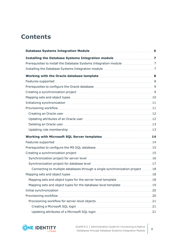# **Contents**

| Deleting an Oracle user [13] Deleting an Oracle user [13] Deleting an Oracle user [13] Deleting an Oracle user                                                                                                                 |  |
|--------------------------------------------------------------------------------------------------------------------------------------------------------------------------------------------------------------------------------|--|
|                                                                                                                                                                                                                                |  |
|                                                                                                                                                                                                                                |  |
| Features supported manufactured and the set of the state of the state of the state of the state of the state of the state of the state of the state of the state of the state of the state of the state of the state of the st |  |
|                                                                                                                                                                                                                                |  |
|                                                                                                                                                                                                                                |  |
|                                                                                                                                                                                                                                |  |
|                                                                                                                                                                                                                                |  |
| Connecting to multiple databases through a single synchronization project 18                                                                                                                                                   |  |
|                                                                                                                                                                                                                                |  |
|                                                                                                                                                                                                                                |  |
| Mapping sets and object types for the database-level template  19                                                                                                                                                              |  |
|                                                                                                                                                                                                                                |  |
|                                                                                                                                                                                                                                |  |
|                                                                                                                                                                                                                                |  |
|                                                                                                                                                                                                                                |  |
|                                                                                                                                                                                                                                |  |

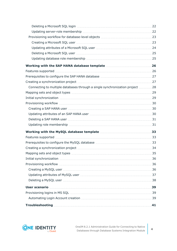| Connecting to multiple databases through a single synchronization project  28 |  |
|-------------------------------------------------------------------------------|--|
|                                                                               |  |
|                                                                               |  |
|                                                                               |  |
|                                                                               |  |
|                                                                               |  |
|                                                                               |  |
|                                                                               |  |
|                                                                               |  |
|                                                                               |  |
|                                                                               |  |
|                                                                               |  |
|                                                                               |  |
|                                                                               |  |
|                                                                               |  |
|                                                                               |  |
|                                                                               |  |
|                                                                               |  |
|                                                                               |  |
|                                                                               |  |
|                                                                               |  |
|                                                                               |  |

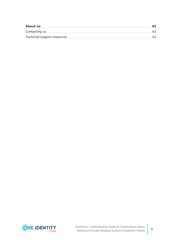| Exercise de La Contacting us material contract and the contraction of the contraction of the contract of the contract of the contract of the contract of the contract of the contract of the contract of the contract of the c |  |
|--------------------------------------------------------------------------------------------------------------------------------------------------------------------------------------------------------------------------------|--|
|                                                                                                                                                                                                                                |  |

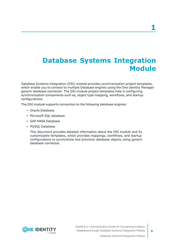# <span id="page-5-0"></span>**Database Systems Integration Module**

Database Systems Integration (DSI) module provides synchronization project templates, which enable you to connect to multiple Database engines using the One Identity Manager generic database connector. The DSI module project templates help in configuring synchronization components such as, object type mapping, workflows, and startup configurations.

The DSI module supports connection to the following database engines:

- Oracle Database
- Microsoft SQL database
- SAP HANA Database
- MySQL Database

This document provides detailed information about the DSI module and its customizable templates, which provides mappings, workflows, and startup configurations to synchronize and provision database objects using generic database connector.

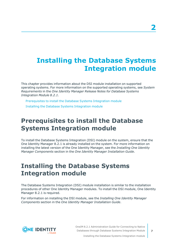# <span id="page-6-0"></span>**Installing the Database Systems Integration module**

This chapter provides information about the DSI module installation on supported operating systems. For more information on the supported operating systems, see *System Requirements* in the *One Identity Manager Release Notes for Database Systems Integration Module 8.2.1*.

[Prerequisites](#page-6-1) to install the Database Systems Integration module Installing the Database Systems [Integration](#page-6-2) module

## <span id="page-6-1"></span>**Prerequisites to install the Database Systems Integration module**

To install the Database Systems Integration (DSI) module on the system, ensure that the One Identity Manager 8.2.1 is already installed on the system. For more information on installing the latest version of the One Identity Manager, see the *Installing One Identity Manager Components* section in the *One Identity Manager Installation Guide*.

# <span id="page-6-2"></span>**Installing the Database Systems Integration module**

The Database Systems Integration (DSI) module installation is similar to the installation procedures of other One Identity Manager modules. To install the DSI module, One Identity Manager 8.2.1 is required.

For information on installing the DSI module, see the *Installing One Identity Manager Components* section in the *One Identity Manager Installation Guide*.



OneIM 8.2.1 Administration Guide for Connecting to Native Databases through Database Systems Integration Module

Installing the Database Systems Integration module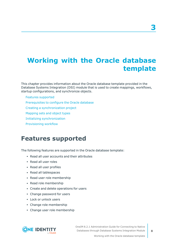# <span id="page-7-0"></span>**Working with the Oracle database template**

This chapter provides information about the Oracle database template provided in the Database Systems Integration (DSI) module that is used to create mappings, workflows, startup configurations, and synchronize objects.

#### Features [supported](#page-7-1)

- [Prerequisites](#page-8-0) to configure the Oracle database
- Creating a [synchronization](#page-8-1) project
- [Mapping](#page-9-0) sets and object types
- Initializing [synchronization](#page-10-0)
- <span id="page-7-1"></span>[Provisioning](#page-10-1) workflow

### **Features supported**

The following features are supported in the Oracle database template:

- Read all user accounts and their attributes
- Read all user roles
- Read all user profiles
- Read all tablespaces
- Read user role membership
- Read role membership
- Create and delete operations for users
- Change password for users
- Lock or unlock users
- Change role membership
- Change user role membership

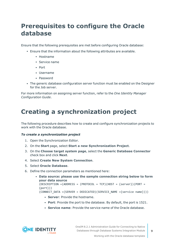# <span id="page-8-0"></span>**Prerequisites to configure the Oracle database**

Ensure that the following prerequisites are met before configuring Oracle database:

- <sup>l</sup> Ensure that the information about the following attributes are available.
	- Hostname
	- $\cdot$  Service name
	- Port
	- Username
	- Password
- The generic database configuration server function must be enabled on the Designer for the Job server.

For more information on assigning server function, refer to the *One Identity Manager Configuration Guide*.

# <span id="page-8-1"></span>**Creating a synchronization project**

The following procedure describes how to create and configure synchronization projects to work with the Oracle database.

#### *To create a synchronization project*

- 1. Open the Synchronization Editor.
- 2. On the **Start** page, select **Start a new Synchronization Project**.
- 3. On the **Choose target system page**, select the **Generic Database Connector** check box and click **Next**.
- 4. Select **Create New System Connection**.
- 5. Select **Oracle Database**.
- 6. Define the connection parameters as mentioned here:
	- <sup>l</sup> **Data source: please use the sample connection string below to form your data source**  $(DESCRIPITION = (ADDRESS = (PROTOCOL = TCP) (HOST = {server}) (PORT =$ {port})) (CONNECT\_DATA =(SERVER = DEDICATED)(SERVICE\_NAME ={service name})))
		- **· Server**: Provide the hostname.
		- **Port:** Provide the port to the database. By default, the port is 1521.
		- <sup>l</sup> **Service name**: Provide the service name of the Oracle database.

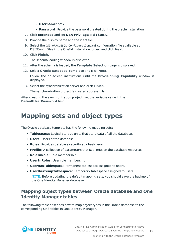- **Username: SYS**
- **Password**: Provide the password created during the oracle installation
- 7. Click **Extended** and set **DBA Privilege** to **SYSDBA**.
- 8. Provide the display name and the identifier.
- 9. Select the DSI\_ORACLESQL\_Configuration.xml configuration file available at DSI/ConfigFiles in the OneIM installation folder, and click **Next**.
- 10. Click **Finish**.

The schema loading window is displayed.

- 11. After the schema is loaded, the **Template Selection** page is displayed.
- 12. Select **Oracle Database Template** and click **Next**.

Follow the on-screen instructions until the **Provisioning Capability** window is displayed.

13. Select the synchronization server and click **Finish**.

The synchronization project is created successfully.

After creating the synchronization project, set the variable value in the **DefaultUserPassword** field.

## <span id="page-9-0"></span>**Mapping sets and object types**

The Oracle database template has the following mapping sets:

- **Tablespace**: Logical storage units that store data of all the databases.
- **· Users:** Users of the database.
- **Roles**: Provides database security at a basic level.
- **Profile**: A collection of parameters that set limits on the database resources.
- **RoleInRole**: Role membership.
- **· UserInRoles**: User role membership.
- **· UserHasTablespace**: Permanent tablespace assigned to users.
- **· UserHasTempTablespace**: Temporary tablespace assigned to users.

NOTE: Before updating the default mapping sets, you should save the backup of the One Identity Manager database.

### **Mapping object types between Oracle database and One Identity Manager tables**

The following table describes how to map object types in the Oracle database to the corresponding UNS tables in One Identity Manager.

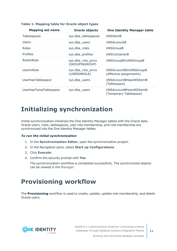| <b>Mapping set name</b> | <b>Oracle objects</b>                | <b>One Identity Manager table</b>                 |
|-------------------------|--------------------------------------|---------------------------------------------------|
| Tablespaces             | sys.dba_tablespaces                  | UNSItemB                                          |
| Users                   | sys.dba_users                        | <b>UNSAccountB</b>                                |
| Roles                   | sys.dba_roles                        | <b>UNSGroupB</b>                                  |
| <b>Profiles</b>         | sys.dba_profiles                     | <b>UNSContainerB</b>                              |
| RoleInRole              | sys.dba_role_privs<br>(GROUPINGROUP) | UNSGroupBInUNSGroupB                              |
| UserInRole              | sys.dba_role_privs<br>(USERINROLE)   | UNSAccountBInUNSGroupB<br>(effective assignments) |
| UserHasTablespace       | sys.dba_users                        | <b>UNSAccountBHasUNSItemB</b><br>(Tablespace)     |
| UserHasTempTablespace   | sys.dba_users                        | UNSAccountBHasUNSItemB<br>(Temporary Tablespace)  |

#### **Table 1: Mapping table for Oracle object types**

## <span id="page-10-0"></span>**Initializing synchronization**

Initial synchronization initializes the One Identity Manager tables with the Oracle data. Oracle users, roles, tablespaces, user role membership, and role membership are synchronized into the One Identity Manager tables.

#### *To run the initial synchronization*

- 1. In the **Synchronization Editor**, open the synchronization project.
- 2. In the Navigation pane, select **Start up Configurations**.
- 3. Click **Execute**.
- 4. Confirm the security prompt with **Yes**.

The synchronization workflow is completed successfully. The synchronized objects can be viewed in the Manager.

# <span id="page-10-1"></span>**Provisioning workflow**

The **Provisioning** workflow is used to create, update, update role membership, and delete Oracle users.

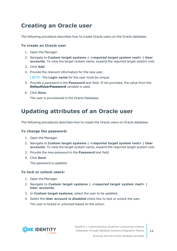### <span id="page-11-0"></span>**Creating an Oracle user**

The following procedure describes how to create Oracle users on the Oracle database.

#### **To create an Oracle user**

- 1. Open the Manager.
- 2. Navigate to **Custom target systems |** *<required target system root>* **| User accounts**. To view the target system name, expand the required target system root.
- 3. Click **Add**.
- 4. Provide the relevant information for the new user.

NOTE: The **Login name** for the user must be unique.

- 5. Provide a password in the **Password** text field. If not provided, the value from the **DefaultUserPassword** variable is used.
- 6. Click **Save**.

The user is provisioned in the Oracle Database.

### <span id="page-11-1"></span>**Updating attributes of an Oracle user**

The following procedures describes how to create the Oracle users on Oracle database.

#### **To change the password:**

- 1. Open the Manager.
- 2. Navigate to **Custom target systems |** *<required target system root>* **| User accounts**. To view the target system name, expand the required target system root.
- 3. Provide the new password in the **Password** text field.
- 4. Click **Save**.

The password is updated.

#### **To lock or unlock users:**

- 1. Open the Manager.
- 2. Navigate to **Custom target systems |** *<required target system root>* **| User accounts**.
- 3. In **Custom target systems**, select the user to be updated.
- 4. Select the **User account is disabled** check box to lock or unlock the user. The user is locked or unlocked based on the action.

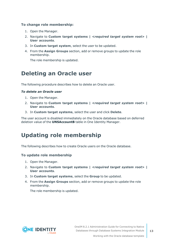#### **To change role membership:**

- 1. Open the Manager.
- 2. Navigate to **Custom target systems |** *<required target system root>* **| User accounts**.
- 3. In **Custom target system**, select the user to be updated.
- 4. From the **Assign Groups** section, add or remove groups to update the role membership.

The role membership is updated.

### <span id="page-12-0"></span>**Deleting an Oracle user**

The following procedure describes how to delete an Oracle user.

#### *To delete an Oracle user*

- 1. Open the Manager.
- 2. Navigate to **Custom target systems |** *<required target system root>* **| User accounts**.
- 3. In **Custom target systems**, select the user and click **Delete**.

The user account is disabled immediately on the Oracle database based on deferred deletion value of the **UNSAccountB** table in One Identity Manager.

### <span id="page-12-1"></span>**Updating role membership**

The following describes how to create Oracle users on the Oracle database.

#### **To update role membership**

- 1. Open the Manager.
- 2. Navigate to **Custom target systems |** *<required target system root>* **| User accounts**.
- 3. In **Custom target systems**, select the **Group** to be updated.
- 4. From the **Assign Groups** section, add or remove groups to update the role membership.

The role membership is updated.

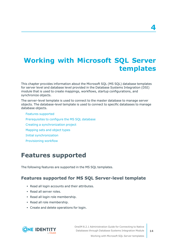# <span id="page-13-0"></span>**Working with Microsoft SQL Server templates**

This chapter provides information about the Microsoft SQL (MS SQL) database templates for server level and database level provided in the Database Systems Integration (DSI) module that is used to create mappings, workflows, startup configurations, and synchronize objects.

The server-level template is used to connect to the master database to manage server objects. The database-level template is used to connect to specific databases to manage database objects.

Features [supported](#page-13-1) [Prerequisites](#page-14-0) to configure the MS SQL database Creating a [synchronization](#page-14-1) project [Mapping](#page-17-1) sets and object types Initial [synchronization](#page-19-0) [Provisioning](#page-19-1) workflow

# <span id="page-13-1"></span>**Features supported**

The following features are supported in the MS SQL templates.

### **Features supported for MS SQL Server-level template**

- Read all login accounts and their attributes.
- Read all server roles.
- Read all login role membership.
- Read all role membership.
- Create and delete operations for login.



OneIM 8.2.1 Administration Guide for Connecting to Native Databases through Database Systems Integration Module

Working with Microsoft SQL Server templates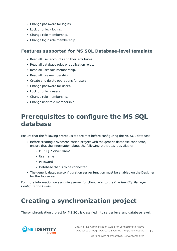- Change password for logins.
- Lock or unlock logins.
- Change role membership.
- Change login role membership.

### **Features supported for MS SQL Database-level template**

- Read all user accounts and their attributes.
- Read all database roles or application roles.
- Read all user role membership.
- Read all role membership.
- Create and delete operations for users.
- Change password for users.
- Lock or unlock users.
- Change role membership.
- Change user role membership.

# <span id="page-14-0"></span>**Prerequisites to configure the MS SQL database**

Ensure that the following prerequisites are met before configuring the MS SQL database:

- Before creating a synchronization project with the generic database connector, ensure that the information about the following attributes is available:
	- MS SOL Server Name
	- Username
	- Password
	- Database that is to be connected
- The generic database configuration server function must be enabled on the Designer for the Job server.

For more information on assigning server function, refer to the *One Identity Manager Configuration Guide*.

# <span id="page-14-1"></span>**Creating a synchronization project**

The synchronization project for MS SQL is classified into server level and database level.



OneIM 8.2.1 Administration Guide for Connecting to Native Databases through Database Systems Integration Module

Working with Microsoft SQL Server templates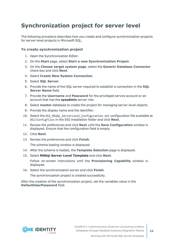## <span id="page-15-0"></span>**Synchronization project for server level**

The following procedure describes how you create and configure synchronization projects for server-level projects in Microsoft SQL.

#### **To create synchronization project**

- 1. Open the Synchronization Editor.
- 2. On the **Start** page, select **Start a new Synchronization Project**.
- 3. On the **Choose target system page**, select the **Generic Database Connector** check box and click **Next**.
- 4. Select **Create New System Connection**.
- 5. Select **SQL Server**.
- 6. Provide the name of the SQL server required to establish a connection in the **SQL Server Name** field.
- 7. Provide the **Username** and **Password** for the privileged service account or an account that has the **sysadmin** server role.
- 8. Select **master** database to create the project for managing server-level objects.
- 9. Provide the display name and the identifier.
- 10. Select the DSI\_MSSQL\_ServerLevel\_Configuration.xml configuration file available at DSI/ConfigFiles in the DSI installation folder and click **Next**.
- 11. Review the preferences and click **Next** until the **Save Configuration** window is displayed. Ensure that the configuration field is empty.
- 12. Click **Next**.
- 13. Review the preferences and click **Finish**.

The schema loading window is displayed.

- 14. After the schema is loaded, the **Template Selection** page is displayed.
- 15. Select **MSSql Server Level Template** and click **Next**.

Follow on-screen instructions until the **Provisioning Capability** window is displayed.

16. Select the synchronization server and click **Finish**.

The synchronization project is created successfully.

After the creation of the synchronization project, set the variables value in the **DefaultUserPassword** field.

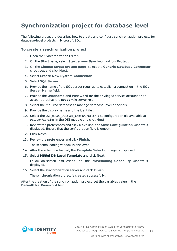## <span id="page-16-0"></span>**Synchronization project for database level**

The following procedure describes how to create and configure synchronization projects for database-level projects in Microsoft SQL.

#### **To create a synchronization project**

- 1. Open the Synchronization Editor.
- 2. On the **Start** page, select **Start a new Synchronization Project**.
- 3. On the **Choose target system page**, select the **Generic Database Connector** check box and click **Next**.
- 4. Select **Create New System Connection**.
- 5. Select **SQL Server**.
- 6. Provide the name of the SQL server required to establish a connection in the **SQL Server Name** field.
- 7. Provide the **Username** and **Password** for the privileged service account or an account that has the **sysadmin** server role.
- 8. Select the required database to manage database-level principals.
- 9. Provide the display name and the identifier.
- 10. Select the DSI\_MSSQL\_DBLevel\_Configuration.xml configuration file available at DSI/ConfigFiles in the DSI module and click **Next**.
- 11. Review the preferences and click **Next** until the **Save Configuration** window is displayed. Ensure that the configuration field is empty.
- 12. Click **Next**.
- 13. Review the preferences and click **Finish**.

The schema loading window is displayed.

- 14. After the schema is loaded, the **Template Selection** page is displayed.
- 15. Select **MSSql DB Level Template** and click **Next**.

Follow on-screen instructions until the **Provisioning Capability** window is displayed.

16. Select the synchronization server and click **Finish**.

The synchronization project is created successfully.

After the creation of the synchronization project, set the variables value in the **DefaultUserPassword** field.

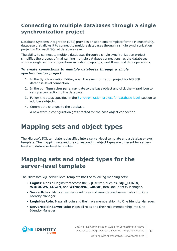### <span id="page-17-0"></span>**Connecting to multiple databases through a single synchronization project**

Database Systems Integration (DSI) provides an additional template for the Microsoft SQL database that allows it to connect to multiple databases through a single synchronization project in Microsoft SQL at database-level.

The ability to connect to multiple databases through a single synchronization project simplifies the process of maintaining multiple database connections, as the databases share a single set of configurations including mappings, workflows, and data operations.

#### *To create connections to multiple databases through a single synchronization project*

- 1. In the Synchronization Editor, open the synchronization project for MS SQL database-level connection.
- 2. In the **configuration** pane, navigate to the base object and click the wizard icon to set up a connection to the database.
- 3. Follow the steps specified in the [Synchronization](#page-16-0) project for database level section to add base objects.
- 4. Commit the changes to the database.

A new startup configuration gets created for the base object connection.

# <span id="page-17-1"></span>**Mapping sets and object types**

The Microsoft SQL template is classified into a server-level template and a database-level template. The mapping sets and the corresponding object types are different for serverlevel and database-level templates.

### <span id="page-17-2"></span>**Mapping sets and object types for the server-level template**

The Microsoft SQL server-level template has the following mapping sets:

- **Logins:** Maps all logins thataccess the SOL server, such as, **SOL LOGIN**, **WINDOWS\_LOGIN**, and **WINDOWS\_GROUP**, into One Identity Manager.
- **ServerRoles:** Maps all server-level roles and user-defined server roles into One Identity Manager.
- **LoginHasRole**: Maps all login and their role membership into One Identity Manager.
- **· ServerRoleinServerRole**: Maps all roles and their role membership into One Identity Manager.

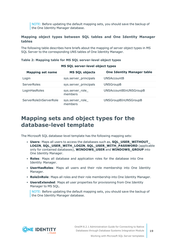NOTE: Before updating the default mapping sets, you should save the backup of the One Identity Manager database.

#### **Mapping object types between SQL tables and One Identity Manager tables**

The following table describes here briefs about the mapping of server object types in MS SQL Server to the corresponding UNS tables of One Identity Manager.

| MS SQL server-level object types |                             |                                   |  |
|----------------------------------|-----------------------------|-----------------------------------|--|
| <b>Mapping set name</b>          | <b>MS SQL objects</b>       | <b>One Identity Manager table</b> |  |
| Login                            | sys.server_principals       | <b>UNSAccountB</b>                |  |
| ServerRoles                      | sys.server_principals       | <b>UNSGroupB</b>                  |  |
| LoginHasRoles                    | sys.server_role_<br>members | UNSAccountBInUNSGroupB            |  |
| ServerRoleInServerRole           | sys.server_role_<br>members | UNSGroupBInUNSGroupB              |  |

#### **Table 2: Mapping table for MS SQL server-level object types**

### <span id="page-18-0"></span>**Mapping sets and object types for the database-level template**

The Microsoft SQL database-level template has the following mapping sets:

- **Users:** Maps all users to access the databases such as, **SQL\_USER\_WITHOUT LOGIN**, **SQL\_USER\_WITH\_LOGIN**, **SQL\_USER\_WITH\_PASSWORD** (applicable only for contained databases), **WINDOWS\_USER** and **WINDOWS\_GROUP** into One Identity Manager.
- **Roles**: Maps all database and application roles for the database into One Identity Manager.
- **· UserHasRoles**: Maps all users and their role membership into One Identity Manager.
- **RoleInRole**: Maps all roles and their role membership into One Identity Manager.
- **UsersExtended**: Maps all user properties for provisioning from One Identity Manager to MS SQL.

NOTE: Before updating the default mapping sets, you should save the backup of the One Identity Manager database.

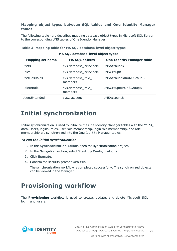#### **Mapping object types between SQL tables and One Identity Manager tables**

The following table here describes mapping database object types in Microsoft SQL Server to the corresponding UNS tables of One Identity Manager.

| MS SQL database-level object types |                               |                                   |
|------------------------------------|-------------------------------|-----------------------------------|
| <b>Mapping set name</b>            | <b>MS SQL objects</b>         | <b>One Identity Manager table</b> |
| Users                              | sys.database_principals       | <b>UNSAccountB</b>                |
| Roles                              | sys.database_principals       | <b>UNSGroupB</b>                  |
| UserHasRoles                       | sys.database_role_<br>members | <b>UNSAccountBInUNSGroupB</b>     |
| RoleInRole                         | sys.database_role_<br>members | UNSGroupBInUNSGroupB              |
| UsersExtended                      | sys.sysusers                  | UNSAccountB                       |

#### **Table 3: Mapping table for MS SQL database-level object types**

# <span id="page-19-0"></span>**Initial synchronization**

Initial synchronization is used to initialize the One Identity Manager tables with the MS SQL data. Users, logins, roles, user role membership, login role membership, and role membership are synchronized into the One Identity Manager tables.

#### *To run the initial synchronization*

- 1. In the **Synchronization Editor**, open the synchronization project.
- 2. In the Navigation section, select **Start up Configurations**.
- 3. Click **Execute**.
- 4. Confirm the security prompt with **Yes**.

The synchronization workflow is completed successfully. The synchronized objects can be viewed in the Manager.

### <span id="page-19-1"></span>**Provisioning workflow**

The **Provisioning** workflow is used to create, update, and delete Microsoft SQL login and users.

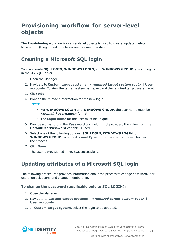## <span id="page-20-0"></span>**Provisioning workflow for server-level objects**

The **Provisioning** workflow for server-level objects is used to create, update, delete Microsoft SQL login, and update server-role membership.

### <span id="page-20-1"></span>**Creating a Microsoft SQL login**

You can create **SQL LOGIN**, **WINDOWS LOGIN**, and **WINDOWS GROUP** types of logins in the MS SQL Server.

- 1. Open the Manager.
- 2. Navigate to **Custom target systems |** *<required target system root>* **| User accounts**. To view the target system name, expand the required target system root.
- 3. Click **Add**.
- 4. Provide the relevant information for the new login.

NOTE:

- <sup>l</sup> For **WINDOWS LOGIN** and **WINDOWS GROUP**, the user name must be in *<domain\username>* format.
- The Login name for the user must be unique.
- 5. Provide a password in the **Password** text field. If not provided, the value from the **DefaultUserPassword** variable is used.
- 6. Select one of the following options, **SQL LOGIN**, **WINDOWS LOGIN**, or **WINDOWS GROUP** from the **AccountType** drop-down list to proceed further with the process.
- 7. Click **Save**.

The user is provisioned in MS SQL successfully.

### <span id="page-20-2"></span>**Updating attributes of a Microsoft SQL login**

The following procedures provides information about the process to change password, lock users, unlock users, and change membership.

#### **To change the password (applicable only to SQL LOGIN):**

- 1. Open the Manager.
- 2. Navigate to **Custom target systems |** *<required target system root>* **| User accounts**.
- 3. In **Custom target system**, select the login to be updated.

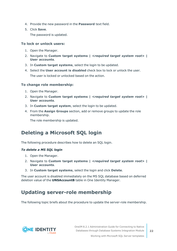- 4. Provide the new password in the **Password** text field.
- 5. Click **Save**.

The password is updated.

#### **To lock or unlock users:**

- 1. Open the Manager.
- 2. Navigate to **Custom target systems |** *<required target system root>* **| User accounts**.
- 3. In **Custom target systems**, select the login to be updated.
- 4. Select the **User account is disabled** check box to lock or unlock the user. The user is locked or unlocked based on the action.

#### **To change role membership:**

- 1. Open the Manager.
- 2. Navigate to **Custom target systems |** *<required target system root>* **| User accounts**.
- 3. In **Custom target system**, select the login to be updated.
- 4. From the **Assign Groups** section, add or remove groups to update the role membership.

The role membership is updated.

### <span id="page-21-0"></span>**Deleting a Microsoft SQL login**

The following procedure describes how to delete an SQL login.

#### *To delete a MS SQL login*

- 1. Open the Manager.
- 2. Navigate to **Custom target systems |** *<required target system root>* **| User accounts**.
- 3. In **Custom target systems**, select the login and click **Delete**.

The user account is disabled immediately on the MS SQL database based on deferred deletion value of the **UNSAccountB** table in One Identity Manager.

### <span id="page-21-1"></span>**Updating server-role membership**

The following topic briefs about the procedure to update the server-role membership.



Working with Microsoft SQL Server templates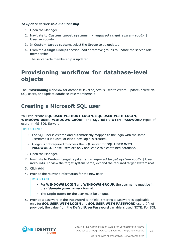#### *To update server-role membership*

- 1. Open the Manager.
- 2. Navigate to **Custom target systems |** *<required target system root>* **| User accounts**.
- 3. In **Custom target system**, select the **Group** to be updated.
- 4. From the **Assign Groups** section, add or remove groups to update the server-role membership.

The server-role membership is updated.

### <span id="page-22-0"></span>**Provisioning workflow for database-level objects**

The **Provisioning** workflow for database-level objects is used to create, update, delete MS SQL users, and update database-role membership.

### <span id="page-22-1"></span>**Creating a Microsoft SQL user**

You can create **SQL USER WITHOUT LOGIN**, **SQL USER WITH LOGIN**, **WINDOWS USER**, **WINDOWS GROUP**, and **SQL USER WITH PASSWORD** types of users in MS SQL Server.

IMPORTANT:

- The SQL user is created and automatically mapped to the login with the same username if it exists, or else a new login is created.
- <sup>l</sup> A login is not required to access the SQL server for **SQL USER WITH PASSWORD**. These users are only applicable to a contained database.
- 1. Open the Manager.
- 2. Navigate to **Custom target systems |** *<required target system root>* **| User accounts**. To view the target system name, expand the required target system root.
- 3. Click **Add**.
- 4. Provide the relevant information for the new user.

IMPORTANT:

- <sup>l</sup> For **WINDOWS LOGIN** and **WINDOWS GROUP**, the user name must be in the *<domain\username>* format.
- **The Login name** for the user must be unique.
- 5. Provide a password in the **Password** text field. Entering a password is applicable only for **SQL USER WITH LOGIN** and **SQL USER WITH PASSWORD** users. If not provided, the value from the **DefaultUserPassword** variable is used.NOTE: For SQL

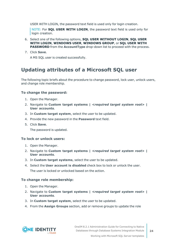USER WITH LOGIN, the password text field is used only for login creation.

NOTE: For **SQL USER WITH LOGIN**, the password text field is used only for login creation.

- 6. Select one of the following options, **SQL USER WITHOUT LOGIN**, **SQL USER WITH LOGIN**, **WINDOWS USER**, **WINDOWS GROUP**, or **SQL USER WITH PASSWORD** from the **AccountType** drop-down list to proceed with the process.
- 7. Click **Save**.

A MS SQL user is created successfully.

### <span id="page-23-0"></span>**Updating attributes of a Microsoft SQL user**

The following topic briefs about the procedure to change password, lock user, unlock users, and change role membership.

#### **To change the password:**

- 1. Open the Manager.
- 2. Navigate to **Custom target systems |** *<required target system root>* **| User accounts**.
- 3. In **Custom target system**, select the user to be updated.
- 4. Provide the new password in the **Password** text field.
- 5. Click **Save**.

The password is updated.

#### **To lock or unlock users:**

- 1. Open the Manager.
- 2. Navigate to **Custom target systems |** *<required target system root>* **| User accounts**.
- 3. In **Custom target systems**, select the user to be updated.
- 4. Select the **User account is disabled** check box to lock or unlock the user.

The user is locked or unlocked based on the action.

#### **To change role membership:**

- 1. Open the Manager.
- 2. Navigate to **Custom target systems |** *<required target system root>* **| User accounts**.
- 3. In **Custom target system**, select the user to be updated.
- 4. From the **Assign Groups** section, add or remove groups to update the role

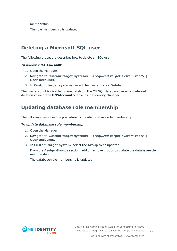membership.

The role membership is updated.

### <span id="page-24-0"></span>**Deleting a Microsoft SQL user**

The following procedure describes how to delete an SQL user.

#### *To delete a MS SQL user*

- 1. Open the Manager.
- 2. Navigate to **Custom target systems |** *<required target system root>* **| User accounts**.
- 3. In **Custom target systems**, select the user and click **Delete**.

The user account is disabled immediately on the MS SQL database based on deferred deletion value of the **UNSAccountB** table in One Identity Manager.

### <span id="page-24-1"></span>**Updating database role membership**

The following describes the procedure to update database role membership.

#### *To update database role membership*

- 1. Open the Manager.
- 2. Navigate to **Custom target systems |** *<required target system root>* **| User accounts**.
- 3. In **Custom target system**, select the **Group** to be updated.
- 4. From the **Assign Groups** section, add or remove groups to update the database-role membership.

The database-role membership is updated.

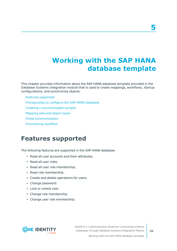# <span id="page-25-0"></span>**Working with the SAP HANA database template**

This chapter provides information about the SAP HANA database template provided in the Database Systems Integration module that is used to create mappings, workflows, startup configurations, and synchronize objects.

#### Features [supported](#page-25-1)

- [Prerequisites](#page-26-0) to configure the SAP HANA database
- Creating a [synchronization](#page-26-1) project
- [Mapping](#page-28-0) sets and object types
- Initial [synchronization](#page-28-1)
- <span id="page-25-1"></span>[Provisioning](#page-29-0) workflow

### **Features supported**

The following features are supported in the SAP HANA database.

- Read all user accounts and their attributes.
- Read all user roles.
- Read all user role membership.
- Read role membership.
- Create and delete operations for users.
- Change password.
- Lock or unlock user.
- Change role membership.
- Change user role membership.

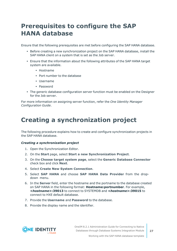# <span id="page-26-0"></span>**Prerequisites to configure the SAP HANA database**

Ensure that the following prerequisites are met before configuring the SAP HANA database.

- Before creating a new synchronization project on the SAP HANA database, install the SAP HANA client on a system that is set as the Job server.
- <sup>l</sup> Ensure that the information about the following attributes of the SAP HANA target system are available.
	- Hostname
	- Port number to the database
	- Username
	- Password
- The generic database configuration server function must be enabled on the Designer for the Job server.

For more information on assigning server function, refer the *One Identity Manager Configuration Guide*.

## <span id="page-26-1"></span>**Creating a synchronization project**

The following procedure explains how to create and configure synchronization projects in the SAP HANA database.

#### *Creating a synchronization project*

- 1. Open the Synchronization Editor.
- 2. On the **Start** page, select **Start a new Synchronization Project**.
- 3. On the **Choose target system page**, select the **Generic Database Connector** check box and click **Next**.
- 4. Select **Create New System Connection**.
- 5. Select **SAP HANA** and choose **SAP HANA Data Provider** from the dropdown menu.
- 6. In the **Server** field, enter the hostname and the portname to the database created on SAP HANA in the following format: **Hostname:portnumber**. For example, *<hostname>***:39013** to connect to SYSTEMDB and *<hostname>***:39015** to connect to HXE default database.
- 7. Provide the **Username** and **Password** to the database.
- 8. Provide the display name and the identifier.

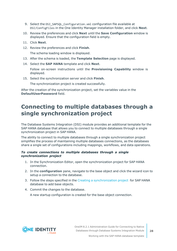- 9. Select the DSI\_SAPSQL\_Configuration.xml configuration file available at DSI/ConfigFiles in the One Identity Manager installation folder, and click **Next**.
- 10. Review the preferences and click **Next** until the **Save Configuration** window is displayed. Ensure that the configuration field is empty.
- 11. Click **Next**.
- 12. Review the preferences and click **Finish**.

The schema loading window is displayed.

- 13. After the schema is loaded, the **Template Selection** page is displayed.
- 14. Select the **SAP HANA** template and click **Next**.

Follow on-screen instructions until the **Provisioning Capability** window is displayed.

15. Select the synchronization server and click **Finish**.

The synchronization project is created successfully.

After the creation of the synchronization project, set the variables value in the **DefaultUserPassword** field.

### <span id="page-27-0"></span>**Connecting to multiple databases through a single synchronization project**

The Database Systems Integration (DSI) module provides an additional template for the SAP HANA database that allows you to connect to multiple databases through a single synchronization project in SAP HANA.

The ability to connect to multiple databases through a single synchronization project simplifies the process of maintaining multiple databases connections, as the databases share a single set of configurations including mappings, workflows, and data operations.

#### *To create connections to multiple databases through a single synchronization project*

- 1. In the Synchronization Editor, open the synchronization project for SAP HANA connection.
- 2. In the **configuration** pane, navigate to the base object and click the wizard icon to setup a connection to the database.
- 3. Follow the steps specified in the Creating a [synchronization](#page-26-1) project for SAP HANA database to add base objects.
- 4. Commit the changes to the database.

A new startup configuration is created for the base object connection.

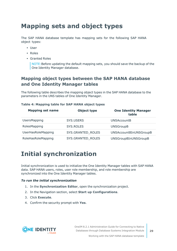# <span id="page-28-0"></span>**Mapping sets and object types**

The SAP HANA database template has mapping sets for the following SAP HANA object types:

- User
- Roles
- Granted Roles

NOTE:Before updating the default mapping sets, you should save the backup of the One Identity Manager database.

### **Mapping object types between the SAP HANA database and One Identity Manager tables**

The following table describes the mapping object types in the SAP HANA database to the parameters in the UNS tables of One Identity Manager.

### **Mapping set name Object type One Identity Manager table** UsersMapping SYS.USERS UNSAccountB RolesMapping SYS.ROLES UNSGroupB UserHasRoleMapping SYS.GRANTED\_ROLES UNSAccountBInUNSGroupB RoleHasRoleMapping SYS.GRANTED\_ROLES UNSGroupBInUNSGroupB

#### **Table 4: Mapping table for SAP HANA object types**

# <span id="page-28-1"></span>**Initial synchronization**

Initial synchronization is used to initialize the One Identity Manager tables with SAP HANA data. SAP HANA users, roles, user role membership, and role membership are synchronized into the One Identity Manager tables.

#### *To run the initial synchronization*

- 1. In the **Synchronization Editor**, open the synchronization project.
- 2. In the Navigation section, select **Start up Configurations**.
- 3. Click **Execute**.
- 4. Confirm the security prompt with **Yes**.



Working with the SAP HANA database template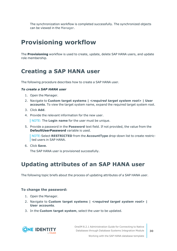The synchronization workflow is completed successfully. The synchronized objects can be viewed in the Manager.

# <span id="page-29-0"></span>**Provisioning workflow**

The **Provisioning** workflow is used to create, update, delete SAP HANA users, and update role membership.

### <span id="page-29-1"></span>**Creating a SAP HANA user**

The following procedure describes how to create a SAP HANA user.

#### *To create a SAP HANA user*

- 1. Open the Manager.
- 2. Navigate to **Custom target systems |** *<required target system root>* **| User accounts**. To view the target system name, expand the required target system root.
- 3. Click **Add**.
- 4. Provide the relevant information for the new user.

NOTE: The **Login name** for the user must be unique.

5. Provide a password in the **Password** text field. If not provided, the value from the **DefaultUserPassword** variable is used.

NOTE:Select **RESTRICTED** from the **AccountType** drop-down list to create restricted users in SAP HANA.

6. Click **Save**.

The SAP HANA user is provisioned successfully.

### <span id="page-29-2"></span>**Updating attributes of an SAP HANA user**

The following topic briefs about the process of updating attributes of a SAP HANA user.

#### **To change the password:**

- 1. Open the Manager.
- 2. Navigate to **Custom target systems |** *<required target system root>* **| User accounts**.
- 3. In the **Custom target system**, select the user to be updated.



OneIM 8.2.1 Administration Guide for Connecting to Native Databases through Database Systems Integration Module

Working with the SAP HANA database template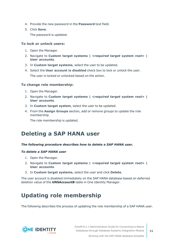- 4. Provide the new password in the **Password** text field.
- 5. Click **Save**.

The password is updated.

#### **To lock or unlock users:**

- 1. Open the Manager.
- 2. Navigate to **Custom target systems |** *<required target system root>* **| User accounts**.
- 3. In **Custom target systems**, select the user to be updated.
- 4. Select the **User account is disabled** check box to lock or unlock the user. The user is locked or unlocked based on the action.

#### **To change role membership:**

- 1. Open the Manager.
- 2. Navigate to **Custom target systems |** *<required target system root>* **| User accounts**.
- 3. In **Custom target system**, select the user to be updated.
- 4. From the **Assign Groups** section, add or remove groups to update the role membership.

The role membership is updated.

### <span id="page-30-0"></span>**Deleting a SAP HANA user**

#### *The following procedure describes how to delete a SAP HANA user.*

#### *To delete a SAP HANA user*

- 1. Open the Manager.
- 2. Navigate to **Custom target systems |** *<required target system root>* **| User accounts**.
- 3. In **Custom target systems**, select the user and click **Delete**.

The user account is disabled immediately on the SAP HANA database based on deferred deletion value of the **UNSAccountB** table in One Identity Manager.

### <span id="page-30-1"></span>**Updating role membership**

The following describes the process of updating the role membership of a SAP HANA user.

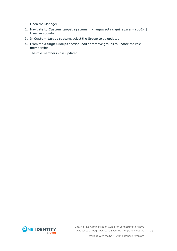- 1. Open the Manager.
- 2. Navigate to **Custom target systems |** *<required target system root>* **| User accounts**.
- 3. In **Custom target system**, select the **Group** to be updated.
- 4. From the **Assign Groups** section, add or remove groups to update the role membership.

The role membership is updated.



OneIM 8.2.1 Administration Guide for Connecting to Native Databases through Database Systems Integration Module

Working with the SAP HANA database template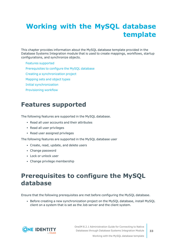# <span id="page-32-0"></span>**Working with the MySQL database template**

This chapter provides information about the MySQL database template provided in the Database Systems Integration module that is used to create mappings, workflows, startup configurations, and synchronize objects.

Features [supported](#page-32-1)

[Prerequisites](#page-32-2) to configure the MySQL database

Creating a [synchronization](#page-33-0) project

[Mapping](#page-34-0) sets and object types

Initial [synchronization](#page-35-0)

<span id="page-32-1"></span>[Provisioning](#page-35-1) workflow

## **Features supported**

The following features are supported in the MySQL database.

- Read all user accounts and their attributes
- Read all user privileges
- Read user assigned privileges

The following features are supported in the MySQL database user

- Create, read, update, and delete users
- Change password
- Lock or unlock user
- Change privilege membership

# <span id="page-32-2"></span>**Prerequisites to configure the MySQL database**

Ensure that the following prerequisites are met before configuring the MySQL database.

<sup>l</sup> Before creating a new synchronization project on the MySQL database, install MySQL client on a system that is set as the Job server and the client system.

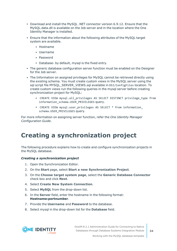- Download and install the MySQL .NET connector version 6.9.12. Ensure that the MySQL.data.dll is available on the Job server and in the location where the One Identity Manager is installed.
- <sup>l</sup> Ensure that the information about the following attributes of the MySQL target system are available.
	- Hostname
	- Username
	- Password
	- Database- by default, mysql is the fixed entry.
- The generic database configuration server function must be enabled on the Designer for the Job server.
- The Information on assigned privileges for MySQL cannot be retrieved directly using the existing schema. You must create custom views in the MySQL server using the sql script file MYSOL\_SERVER\_VIEWS.sql available in DSI/ConfigFiles location. To create custom views run the following queries in the mysql server before creating synchronization project for MySQL:
	- CREATE VIEW mysql.all privileges AS SELECT DISTINCT privilege type from information schema.USER PRIVILEGES query.
	- CREATE VIEW mysql.user privileges AS SELECT \* from information schema.USER\_PRIVILEGES query.

For more information on assigning server function, refer the *One Identity Manager Configuration Guide*.

## <span id="page-33-0"></span>**Creating a synchronization project**

The following procedure explains how to create and configure synchronization projects in the MySQL database.

#### *Creating a synchronization project*

- 1. Open the Synchronization Editor.
- 2. On the **Start** page, select **Start a new Synchronization Project**.
- 3. On the **Choose target system page**, select the **Generic Database Connector** check box and click **Next**.
- 4. Select **Create New System Connection**.
- 5. Select **MySQL** from the drop-down list.
- 6. In the **Server** field, enter the hostname in the following format: **Hostname:portnumber**.
- 7. Provide the **Username** and **Password** to the database.
- 8. Select mysql in the drop-down list for the **Database** field.

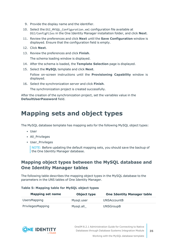- 9. Provide the display name and the identifier.
- 10. Select the DSI\_MYSQL\_Configuration.xml configuration file available at DSI/ConfigFiles in the One Identity Manager installation folder, and click **Next**.
- 11. Review the preferences and click **Next** until the **Save Configuration** window is displayed. Ensure that the configuration field is empty.
- 12. Click **Next**.
- 13. Review the preferences and click **Finish**.

The schema loading window is displayed.

- 14. After the schema is loaded, the **Template Selection** page is displayed.
- 15. Select the **MySQL** template and click **Next**.

Follow on-screen instructions until the **Provisioning Capability** window is displayed.

16. Select the synchronization server and click **Finish**.

The synchronization project is created successfully.

After the creation of the synchronization project, set the variables value in the **DefaultUserPassword** field.

## <span id="page-34-0"></span>**Mapping sets and object types**

The MySQL database template has mapping sets for the following MySQL object types:

- User
- All Privileges
- User Privileges

NOTE: Before updating the default mapping sets, you should save the backup of the One Identity Manager database.

### **Mapping object types between the MySQL database and One Identity Manager tables**

The following table describes the mapping object types in the MySQL database to the parameters in the UNS tables of One Identity Manager.

#### **Table 5: Mapping table for MySQL object types**

| <b>Mapping set name</b> | Object type | <b>One Identity Manager table</b> |
|-------------------------|-------------|-----------------------------------|
| UsersMapping            | Mysgl.user  | <b>UNSAccountB</b>                |
| PrivilegesMapping       | Mysgl.all   | <b>UNSGroupB</b>                  |

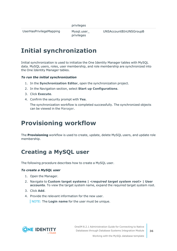UserHasPrivilegeMapping Mysql.user

privileges

# <span id="page-35-0"></span>**Initial synchronization**

Initial synchronization is used to initialize the One Identity Manager tables with MySQL data. MySQL users, roles, user membership, and role membership are synchronized into the One Identity Manager tables.

#### *To run the initial synchronization*

- 1. In the **Synchronization Editor**, open the synchronization project.
- 2. In the Navigation section, select **Start up Configurations**.
- 3. Click **Execute**.
- 4. Confirm the security prompt with **Yes**.

The synchronization workflow is completed successfully. The synchronized objects can be viewed in the Manager.

## <span id="page-35-1"></span>**Provisioning workflow**

The **Provisioning** workflow is used to create, update, delete MySQL users, and update role membership.

### <span id="page-35-2"></span>**Creating a MySQL user**

The following procedure describes how to create a MySQL user.

#### *To create a MySQL user*

- 1. Open the Manager.
- 2. Navigate to **Custom target systems |** *<required target system root>* **| User accounts**. To view the target system name, expand the required target system root.
- 3. Click **Add**.
- 4. Provide the relevant information for the new user.

NOTE: The **Login name** for the user must be unique.

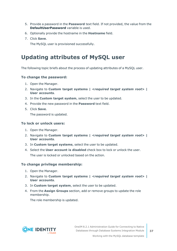- 5. Provide a password in the **Password** text field. If not provided, the value from the **DefaultUserPassword** variable is used.
- 6. Optionally provide the hostname in the **Hostname** field.
- 7. Click **Save**.

The MySQL user is provisioned successfully.

### <span id="page-36-0"></span>**Updating attributes of MySQL user**

The following topic briefs about the process of updating attributes of a MySQL user.

#### **To change the password:**

- 1. Open the Manager.
- 2. Navigate to **Custom target systems |** *<required target system root>* **| User accounts**.
- 3. In the **Custom target system**, select the user to be updated.
- 4. Provide the new password in the **Password** text field.
- 5. Click **Save**.

The password is updated.

#### **To lock or unlock users:**

- 1. Open the Manager.
- 2. Navigate to **Custom target systems |** *<required target system root>* **| User accounts**.
- 3. In **Custom target systems**, select the user to be updated.
- 4. Select the **User account is disabled** check box to lock or unlock the user. The user is locked or unlocked based on the action.

#### **To change privilege membership:**

- 1. Open the Manager.
- 2. Navigate to **Custom target systems |** *<required target system root>* **| User accounts**.
- 3. In **Custom target system**, select the user to be updated.
- 4. From the **Assign Groups** section, add or remove groups to update the role membership.

The role membership is updated.

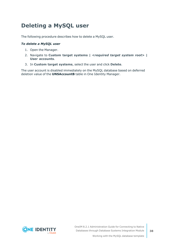## <span id="page-37-0"></span>**Deleting a MySQL user**

The following procedure describes how to delete a MySQL user.

#### *To delete a MySQL user*

- 1. Open the Manager.
- 2. Navigate to **Custom target systems |** *<required target system root>* **| User accounts**.
- 3. In **Custom target systems**, select the user and click **Delete**.

The user account is disabled immediately on the MySQL database based on deferred deletion value of the **UNSAccountB** table in One Identity Manager.

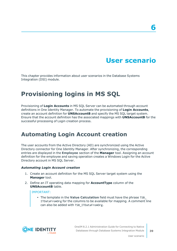# **User scenario**

<span id="page-38-0"></span>This chapter provides information about user scenarios in the Database Systems Integration (DSI) module.

# <span id="page-38-1"></span>**Provisioning logins in MS SQL**

Provisioning of **Login Accounts** in MS SQL Server can be automated through account definitions in One Identity Manager. To automate the provisioning of **Login Accounts**, create an account definition for **UNSAccountB** and specify the MS SQL target system. Ensure that the account definition has the associated mappings with **UNSAccountB** for the successful processing of Login creation process.

### <span id="page-38-2"></span>**Automating Login Account creation**

The user accounts from the Active Directory (AD) are synchronized using the Active Directory connector for One Identity Manager. After synchronizing, the corresponding entries are displayed in the **Employee** section of the **Manager** tool. Assigning an account definition for the employee and saving operation creates a Windows Login for the Active Directory account in MS SQL Server.

#### *Automating Login Account creation*

- 1. Create an account definition for the MS SQL Server target system using the **Manager** tool.
- 2. Define an IT operating data mapping for **AccountType** column of the **UNSAccountB** table.

#### IMPORTANT:

**• The template in the Value Calculation** field must have the phrase TSB ITDataFromOrg for the columns to be available for mapping. A comment line can also be added with TSB\_ITDataFromOrg.

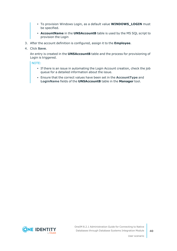- To provision Windows Login, as a default value **WINDOWS\_LOGIN** must be specified.
- **AccountName** in the **UNSAccountB** table is used by the MS SQL script to provision the Login
- 3. After the account definition is configured, assign it to the **Employee**.
- 4. Click **Save**.

An entry is created in the **UNSAccountB** table and the process for provisioning of Login is triggered.

NOTE:

- If there is an issue in automating the Login Account creation, check the job queue for a detailed information about the issue.
- <sup>l</sup> Ensure that the correct values have been set in the **AccountType** and **LoginName** fields of the **UNSAccountB** table in the **Manager** tool.

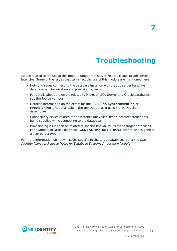# **Troubleshooting**

<span id="page-40-0"></span>Issues related to the use of this module range from server-related issues to Job server latencies. Some of the issues that can affect the use of this module are mentioned here:

- Network issues connecting the database instance with the Job server handling database synchronization and provisioning tasks.
- For details about the errors related to Microsoft SQL Server and Oracle databases, see the Job server logs.
- <sup>l</sup> Detailed information on the errors for the SAP HANA **Synchronization** or **Provisioning** is not available in the Job Queue, as it uses SAP HANA client assemblies.
- Connectivity issues related to the instance unavailability or incorrect credentials being supplied while connecting to the database.
- Provisioning issues can be related to specific known issues of the target databases. For example, in Oracle database, **GLOBAL\_AQ\_USER\_ROLE** cannot be assigned to a user object type.

For more information on known issues specific to the target databases, refer the *One Identity Manager Release Notes for Database Systems Integration Module*.